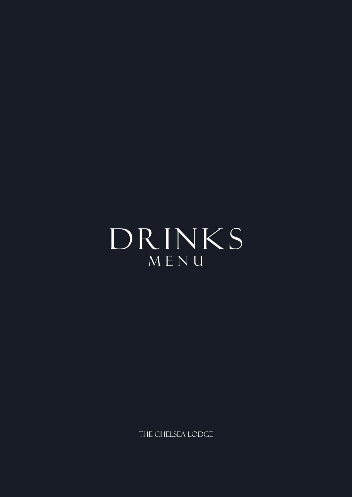DRINKS MENU

THE CHELSEA LODGE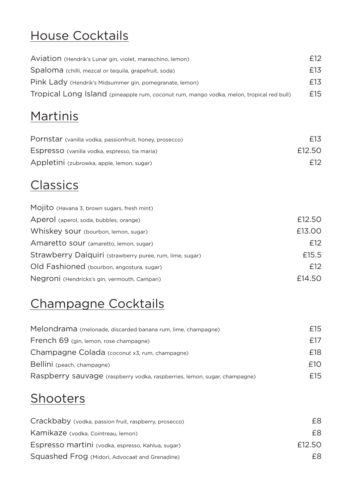# House Cocktails

| Aviation (Hendrik's Lunar gin, violet, maraschino, lemon)                                | £12 |
|------------------------------------------------------------------------------------------|-----|
| Spaloma (chilli, mezcal or tequila, grapefruit, soda)                                    | £13 |
| Pink Lady (Hendrik's Midsummer gin, pomegranate, lemon)                                  | £13 |
| Tropical Long Island (pineapple rum, coconut rum, mango vodka, melon, tropical red bull) | £15 |

## **Martinis**

| Pornstar (vanilla vodka, passionfruit, honey, prosecco) | £13    |
|---------------------------------------------------------|--------|
| Espresso (vanilla vodka, espresso, tia maria)           | £12.50 |
| Appletini (zubrowka, apple, lemon, sugar)               | £12    |

## **Classics**

| Mojito (Havana 3, brown sugars, fresh mint)              |        |
|----------------------------------------------------------|--------|
| Aperol (aperol, soda, bubbles, orange)                   | £12.50 |
| Whiskey sour (bourbon, lemon, sugar)                     | £13.00 |
| Amaretto sour (amaretto, lemon, sugar)                   | £12    |
| Strawberry Daiquiri (strawberry puree, rum, lime, sugar) | £15.5  |
| Old Fashioned (bourbon, angostura, sugar)                | £12    |
| Negroni (Hendricks's gin, vermouth, Campari)             | £14.50 |

# Champagne Cocktails

| £15 |
|-----|
| f17 |
| £18 |
| f10 |
| £15 |
|     |

#### **Shooters**

| Crackbaby (vodka, passion fruit, raspberry, prosecco) | F8.    |
|-------------------------------------------------------|--------|
| Kamikaze (vodka, Cointreau, lemon)                    | £8.    |
| Espresso martini (vodka, espresso, Kahlua, sugar)     | £12.50 |
| Squashed Frog (Midori, Advocaat and Grenadine)        | F8.    |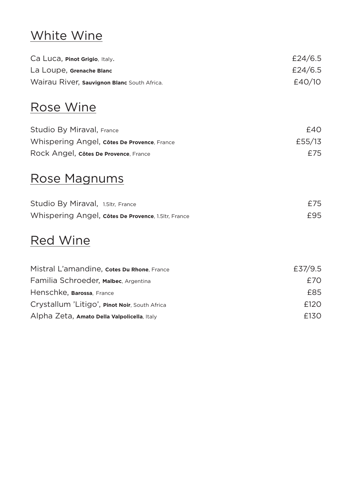# White Wine

| Ca Luca, <b>Pinot Grigio</b> , Italy.       | £24/6.5 |
|---------------------------------------------|---------|
| La Loupe, Grenache Blanc                    | £24/6.5 |
| Wairau River, sauvignon Blanc South Africa. | E40/10  |

#### Rose Wine

| Studio By Miraval, France                   | E40    |
|---------------------------------------------|--------|
| Whispering Angel, côtes De Provence, France | £55/13 |
| Rock Angel, côtes De Provence, France       | £75    |

#### Rose Magnums

| Studio By Miraval, 1.5ltr, France |                                                     | £75 |
|-----------------------------------|-----------------------------------------------------|-----|
|                                   | Whispering Angel, côtes De Provence, 1.5ltr, France | £95 |

#### Red Wine

| Mistral L'amandine, cotes Du Rhone, France    | £37/9.5 |
|-----------------------------------------------|---------|
| Familia Schroeder, Malbec, Argentina          | £70     |
| Henschke, Barossa, France                     | £85     |
| Crystallum 'Litigo', Pinot Noir, South Africa | £120    |
| Alpha Zeta, Amato Della Valpolicella, Italy   | £130    |